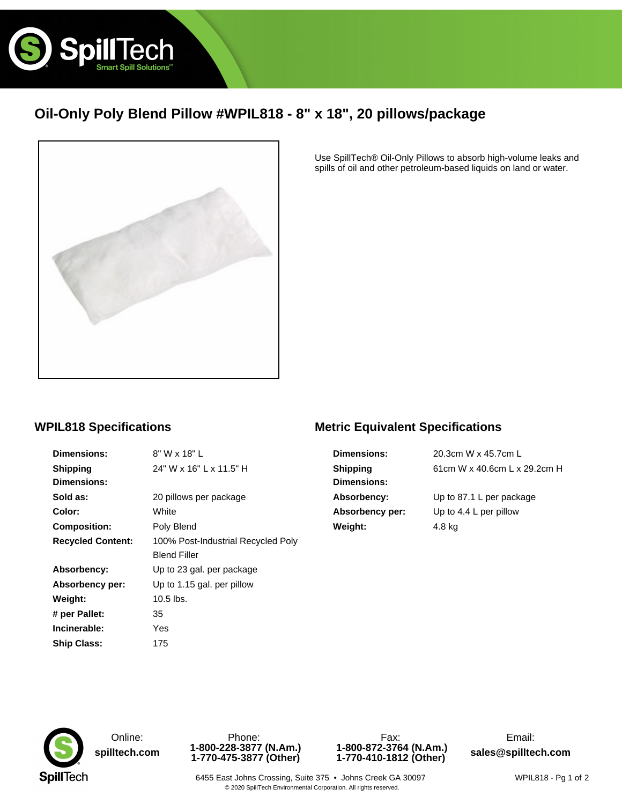

# **Oil-Only Poly Blend Pillow #WPIL818 - 8" x 18", 20 pillows/package**



Use SpillTech® Oil-Only Pillows to absorb high-volume leaks and spills of oil and other petroleum-based liquids on land or water.

### **WPIL818 Specifications**

| <b>Dimensions:</b>       | 8" W x 18" L                       |
|--------------------------|------------------------------------|
| <b>Shipping</b>          | 24" W x 16" L x 11.5" H            |
| <b>Dimensions:</b>       |                                    |
| Sold as:                 | 20 pillows per package             |
| Color:                   | White                              |
| <b>Composition:</b>      | Poly Blend                         |
| <b>Recycled Content:</b> | 100% Post-Industrial Recycled Poly |
|                          | <b>Blend Filler</b>                |
| Absorbency:              | Up to 23 gal. per package          |
| Absorbency per:          | Up to 1.15 gal. per pillow         |
| Weight:                  | $10.5$ lbs.                        |
| # per Pallet:            | 35                                 |
| Incinerable:             | Yes                                |
| <b>Ship Class:</b>       | 175                                |

## **Metric Equivalent Specifications**

| <b>Dimensions:</b> | 20.3cm W x 45.7cm L          |
|--------------------|------------------------------|
| <b>Shipping</b>    | 61cm W x 40.6cm L x 29.2cm H |
| <b>Dimensions:</b> |                              |
| Absorbency:        | Up to 87.1 L per package     |
| Absorbency per:    | Up to 4.4 L per pillow       |
| Weight:            | 4.8 kg                       |



**[spilltech.com](www.spilltech.com) 1-800-228-3877 (N.Am.) 1-770-475-3877 (Other)**



6455 East Johns Crossing, Suite 375 · Johns Creek GA 30097 © 2020 SpillTech Environmental Corporation. All rights reserved.